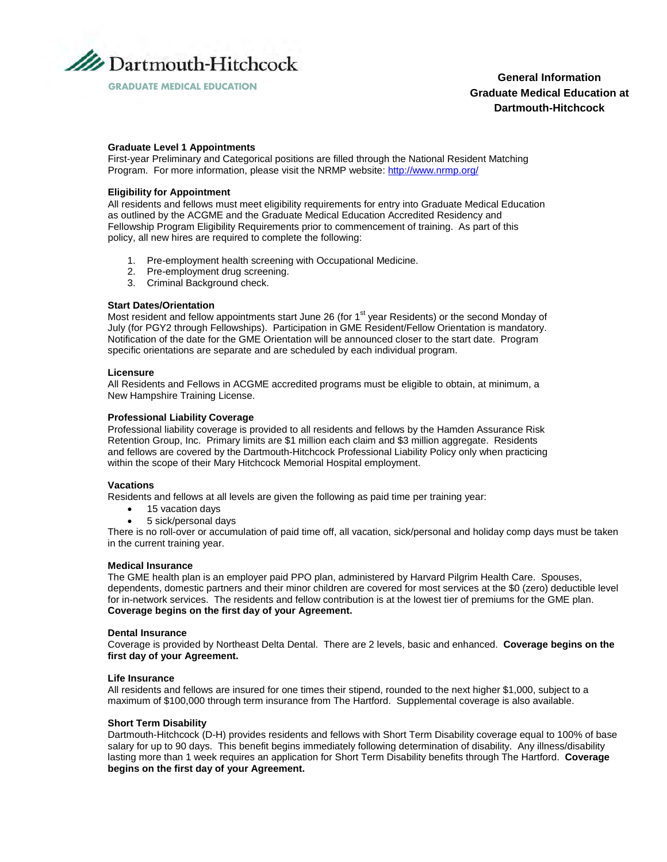

**General Information Graduate Medical Education at Dartmouth-Hitchcock**

# **GRADUATE MEDICAL EDUCATION**

# **Graduate Level 1 Appointments**

First-year Preliminary and Categorical positions are filled through the National Resident Matching Program. For more information, please visit the NRMP website: http://www.nrmp.org/

# **Eligibility for Appointment**

All residents and fellows must meet eligibility requirements for entry into Graduate Medical Education as outlined by the ACGME and the Graduate Medical Education Accredited Residency and Fellowship Program Eligibility Requirements prior to commencement of training. As part of this policy, all new hires are required to complete the following:

- 1. Pre-employment health screening with Occupational Medicine.
- 2. Pre-employment drug screening.
- 3. Criminal Background check.

# **Start Dates/Orientation**

Most resident and fellow appointments start June 26 (for 1<sup>st</sup> year Residents) or the second Monday of July (for PGY2 through Fellowships). Participation in GME Resident/Fellow Orientation is mandatory. Notification of the date for the GME Orientation will be announced closer to the start date. Program specific orientations are separate and are scheduled by each individual program.

### **Licensure**

All Residents and Fellows in ACGME accredited programs must be eligible to obtain, at minimum, a New Hampshire Training License.

# **Professional Liability Coverage**

Professional liability coverage is provided to all residents and fellows by the Hamden Assurance Risk Retention Group, Inc. Primary limits are \$1 million each claim and \$3 million aggregate. Residents and fellows are covered by the Dartmouth-Hitchcock Professional Liability Policy only when practicing within the scope of their Mary Hitchcock Memorial Hospital employment.

### **Vacations**

Residents and fellows at all levels are given the following as paid time per training year:

- 15 vacation days
- 5 sick/personal days

There is no roll-over or accumulation of paid time off, all vacation, sick/personal and holiday comp days must be taken in the current training year.

### **Medical Insurance**

The GME health plan is an employer paid PPO plan, administered by Harvard Pilgrim Health Care. Spouses, dependents, domestic partners and their minor children are covered for most services at the \$0 (zero) deductible level for in-network services. The residents and fellow contribution is at the lowest tier of premiums for the GME plan. **Coverage begins on the first day of your Agreement.**

### **Dental Insurance**

Coverage is provided by Northeast Delta Dental. There are 2 levels, basic and enhanced. **Coverage begins on the first day of your Agreement.**

### **Life Insurance**

All residents and fellows are insured for one times their stipend, rounded to the next higher \$1,000, subject to a maximum of \$100,000 through term insurance from The Hartford. Supplemental coverage is also available.

### **Short Term Disability**

Dartmouth-Hitchcock (D-H) provides residents and fellows with Short Term Disability coverage equal to 100% of base salary for up to 90 days. This benefit begins immediately following determination of disability. Any illness/disability lasting more than 1 week requires an application for Short Term Disability benefits through The Hartford. **Coverage begins on the first day of your Agreement.**